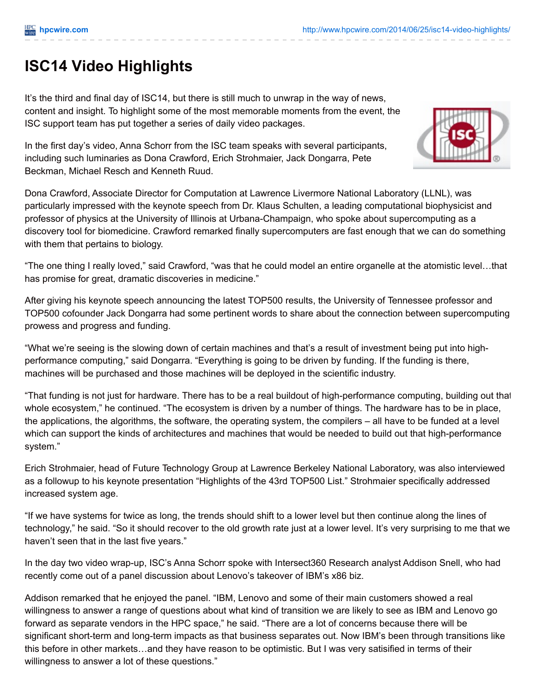## **ISC14 Video Highlights**

It's the third and final day of ISC14, but there is still much to unwrap in the way of news, content and insight. To highlight some of the most memorable moments from the event, the ISC support team has put together a series of daily video packages.

In the first day's video, Anna Schorr from the ISC team speaks with several participants, including such luminaries as Dona Crawford, Erich Strohmaier, Jack Dongarra, Pete Beckman, Michael Resch and Kenneth Ruud.

Dona Crawford, Associate Director for Computation at Lawrence Livermore National Laboratory (LLNL), was particularly impressed with the keynote speech from Dr. Klaus Schulten, a leading computational biophysicist and professor of physics at the University of Illinois at Urbana-Champaign, who spoke about supercomputing as a discovery tool for biomedicine. Crawford remarked finally supercomputers are fast enough that we can do something with them that pertains to biology.

"The one thing I really loved," said Crawford, "was that he could model an entire organelle at the atomistic level…that has promise for great, dramatic discoveries in medicine."

After giving his keynote speech announcing the latest TOP500 results, the University of Tennessee professor and TOP500 cofounder Jack Dongarra had some pertinent words to share about the connection between supercomputing prowess and progress and funding.

"What we're seeing is the slowing down of certain machines and that's a result of investment being put into highperformance computing," said Dongarra. "Everything is going to be driven by funding. If the funding is there, machines will be purchased and those machines will be deployed in the scientific industry.

"That funding is not just for hardware. There has to be a real buildout of high-performance computing, building out that whole ecosystem," he continued. "The ecosystem is driven by a number of things. The hardware has to be in place, the applications, the algorithms, the software, the operating system, the compilers – all have to be funded at a level which can support the kinds of architectures and machines that would be needed to build out that high-performance system."

Erich Strohmaier, head of Future Technology Group at Lawrence Berkeley National Laboratory, was also interviewed as a followup to his keynote presentation "Highlights of the 43rd TOP500 List." Strohmaier specifically addressed increased system age.

"If we have systems for twice as long, the trends should shift to a lower level but then continue along the lines of technology," he said. "So it should recover to the old growth rate just at a lower level. It's very surprising to me that we haven't seen that in the last five years."

In the day two video wrap-up, ISC's Anna Schorr spoke with Intersect360 Research analyst Addison Snell, who had recently come out of a panel discussion about Lenovo's takeover of IBM's x86 biz.

Addison remarked that he enjoyed the panel. "IBM, Lenovo and some of their main customers showed a real willingness to answer a range of questions about what kind of transition we are likely to see as IBM and Lenovo go forward as separate vendors in the HPC space," he said. "There are a lot of concerns because there will be significant short-term and long-term impacts as that business separates out. Now IBM's been through transitions like this before in other markets…and they have reason to be optimistic. But I was very satisified in terms of their willingness to answer a lot of these questions."